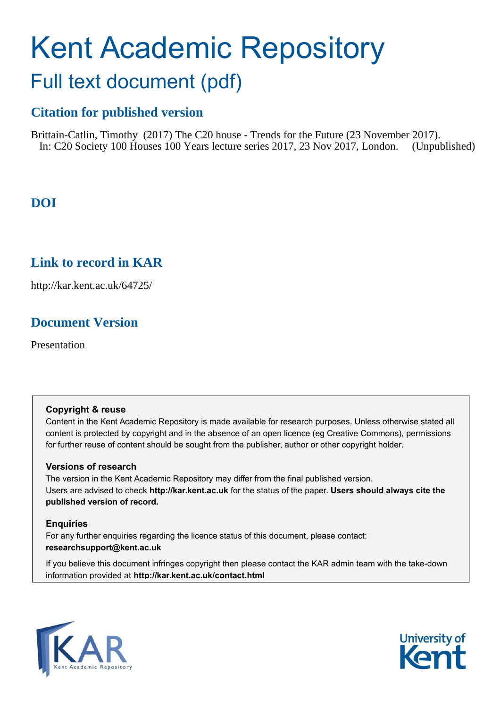# Kent Academic Repository Full text document (pdf)

# **Citation for published version**

Brittain-Catlin, Timothy (2017) The C20 house - Trends for the Future (23 November 2017). In: C20 Society 100 Houses 100 Years lecture series 2017, 23 Nov 2017, London. (Unpublished)

# **DOI**

# **Link to record in KAR**

http://kar.kent.ac.uk/64725/

# **Document Version**

Presentation

#### **Copyright & reuse**

Content in the Kent Academic Repository is made available for research purposes. Unless otherwise stated all content is protected by copyright and in the absence of an open licence (eg Creative Commons), permissions for further reuse of content should be sought from the publisher, author or other copyright holder.

#### **Versions of research**

The version in the Kent Academic Repository may differ from the final published version. Users are advised to check **http://kar.kent.ac.uk** for the status of the paper. **Users should always cite the published version of record.**

#### **Enquiries**

For any further enquiries regarding the licence status of this document, please contact: **researchsupport@kent.ac.uk**

If you believe this document infringes copyright then please contact the KAR admin team with the take-down information provided at **http://kar.kent.ac.uk/contact.html**



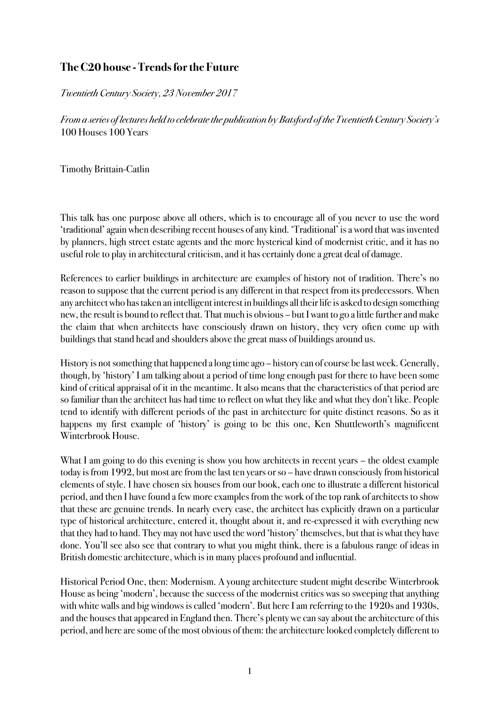### **TheC20 house - Trendsforthe Future**

Twentieth Century Society, 23 November 2017

From a series of lectures held to celebrate the publication by Batsford of the Twentieth Century Society's 100 Houses 100 Years

Timothy Brittain-Catlin

This talk has one purpose above all others, which is to encourage all of you never to use the word 'traditional' again when describing recent houses of any kind. 'Traditional' is a word that was invented by planners, high street estate agents and the more hysterical kind of modernist critic, and it has no useful role to play in architectural criticism, and it has certainly done a great deal of damage.

References to earlier buildings in architecture are examples of history not of tradition. There's no reason to suppose that the current period is any different in that respect from its predecessors. When any architect who has taken an intelligent interest in buildings all their life is asked to design something new, the result is bound to reflect that. That much is obvious – but I want to go a little further and make the claim that when architects have consciously drawn on history, they very often come up with buildings that stand head and shoulders above the great mass of buildings around us.

History is not something that happened a long time ago – history can of course be last week. Generally, though, by 'history' I am talking about a period of time long enough past for there to have been some kind of critical appraisal of it in the meantime. It also means that the characteristics of that period are so familiar than the architect has had time to reflect on what they like and what they don't like. People tend to identify with different periods of the past in architecture for quite distinct reasons. So as it happens my first example of 'history' is going to be this one, Ken Shuttleworth's magnificent Winterbrook House.

What I am going to do this evening is show you how architects in recent years – the oldest example today is from 1992, but most are from the last ten years or so – have drawn consciously from historical elements of style. I have chosen six houses from our book, each one to illustrate a different historical period, and then I have found a few more examples from the work of the top rank of architects to show that these are genuine trends. In nearly every case, the architect has explicitly drawn on a particular type of historical architecture, entered it, thought about it, and re-expressed it with everything new that they had to hand. They may not have used the word 'history' themselves, but that is what they have done. You'll see also see that contrary to what you might think, there is a fabulous range of ideas in British domestic architecture, which is in many places profound and influential.

Historical Period One, then: Modernism. A young architecture student might describe Winterbrook House as being 'modern', because the success of the modernist critics was so sweeping that anything with white walls and big windows is called 'modern'. But here I am referring to the 1920s and 1930s, and the houses that appeared in England then. There's plenty we can say about the architecture of this period, and here are some of the most obvious of them: the architecture looked completely different to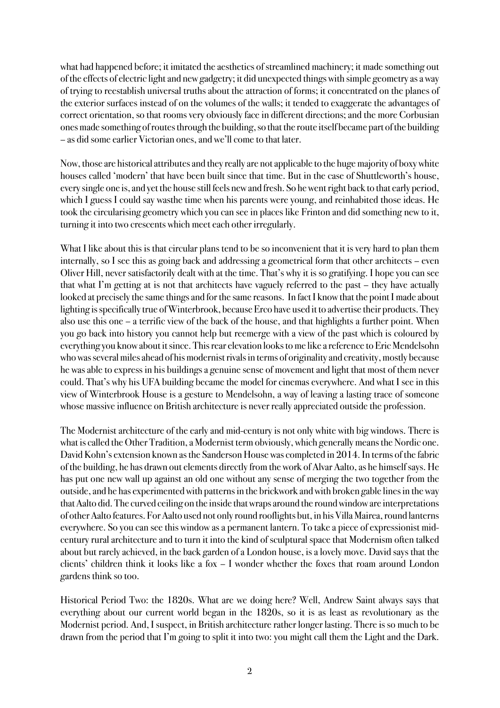what had happened before; it imitated the aesthetics of streamlined machinery; it made something out of the effects of electric light and new gadgetry; it did unexpected things with simple geometry as a way of trying to reestablish universal truths about the attraction of forms; it concentrated on the planes of the exterior surfaces instead of on the volumes of the walls; it tended to exaggerate the advantages of correct orientation, so that rooms very obviously face in different directions; and the more Corbusian ones made something of routes through the building, so that the route itself became part of the building – as did some earlier Victorian ones, and we'll come to that later.

Now, those are historical attributes and they really are not applicable to the huge majority of boxy white houses called 'modern' that have been built since that time. But in the case of Shuttleworth's house, every single one is, and yet the house still feels new and fresh. So he went right back to that early period, which I guess I could say wasthe time when his parents were young, and reinhabited those ideas. He took the circularising geometry which you can see in places like Frinton and did something new to it, turning it into two crescents which meet each other irregularly.

What I like about this is that circular plans tend to be so inconvenient that it is very hard to plan them internally, so I see this as going back and addressing a geometrical form that other architects – even Oliver Hill, never satisfactorily dealt with at the time. That's why it is so gratifying. I hope you can see that what I'm getting at is not that architects have vaguely referred to the past – they have actually looked at precisely the same things and for the same reasons. In fact I know that the point I made about lighting is specifically true of Winterbrook, because Erco have used it to advertise their products. They also use this one – a terrific view of the back of the house, and that highlights a further point. When you go back into history you cannot help but reemerge with a view of the past which is coloured by everything you know about it since. This rear elevation looks to me like a reference to Eric Mendelsohn who was several miles ahead of his modernist rivals in terms of originality and creativity, mostly because he was able to express in his buildings a genuine sense of movement and light that most of them never could. That's why his UFA building became the model for cinemas everywhere. And what I see in this view of Winterbrook House is a gesture to Mendelsohn, a way of leaving a lasting trace of someone whose massive influence on British architecture is never really appreciated outside the profession.

The Modernist architecture of the early and mid-century is not only white with big windows. There is what is called the Other Tradition, a Modernist term obviously, which generally means the Nordic one. David Kohn's extension known as the Sanderson House was completed in 2014. In terms of the fabric of the building, he has drawn out elements directly from the work of Alvar Aalto, as he himself says. He has put one new wall up against an old one without any sense of merging the two together from the outside, and he has experimented with patterns in the brickwork and with broken gable lines in the way that Aalto did. The curved ceiling on the inside that wraps around the round window are interpretations of otherAalto features. For Aalto used not only round rooflights but, in his Villa Mairea, round lanterns everywhere. So you can see this window as a permanent lantern. To take a piece of expressionist midcentury rural architecture and to turn it into the kind of sculptural space that Modernism often talked about but rarely achieved, in the back garden of a London house, is a lovely move. David says that the clients' children think it looks like a fox – I wonder whether the foxes that roam around London gardens think so too.

Historical Period Two: the 1820s. What are we doing here? Well, Andrew Saint always says that everything about our current world began in the 1820s, so it is as least as revolutionary as the Modernist period. And, I suspect, in British architecture rather longer lasting. There is so much to be drawn from the period that I'm going to split it into two: you might call them the Light and the Dark.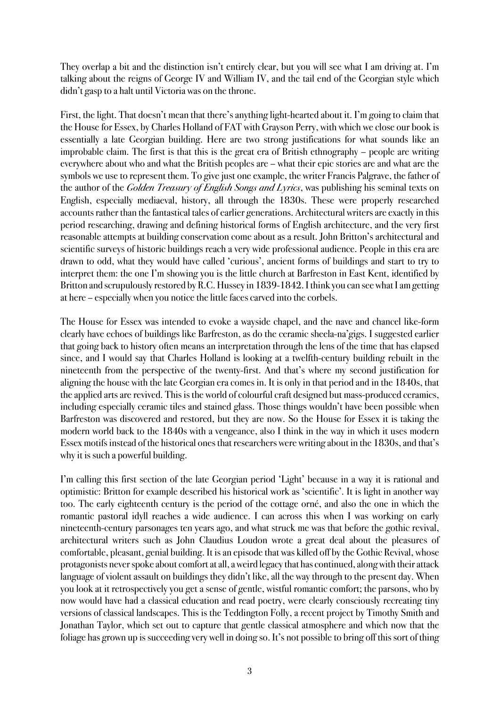They overlap a bit and the distinction isn't entirely clear, but you will see what I am driving at. I'm talking about the reigns of George IV and William IV, and the tail end of the Georgian style which didn't gasp to a halt until Victoria was on the throne.

First, the light. That doesn't mean that there's anything light-hearted about it. I'm going to claim that the House for Essex, by Charles Holland of FAT with Grayson Perry, with which we close our book is essentially a late Georgian building. Here are two strong justifications for what sounds like an improbable claim. The first is that this is the great era of British ethnography – people are writing everywhere about who and what the British peoples are – what their epic stories are and what are the symbols we use to represent them. To give just one example, the writer Francis Palgrave, the father of the author of the *Golden Treasury of English Songs and Lyrics*, was publishing his seminal texts on English, especially mediaeval, history, all through the 1830s. These were properly researched accounts rather than the fantastical tales of earlier generations. Architectural writers are exactly in this period researching, drawing and defining historical forms of English architecture, and the very first reasonable attempts at building conservation come about as a result. John Britton's architectural and scientific surveys of historic buildings reach a very wide professional audience. People in this era are drawn to odd, what they would have called 'curious', ancient forms of buildings and start to try to interpret them: the one I'm showing you is the little church at Barfreston in East Kent, identified by Britton and scrupulously restored by R.C. Hussey in 1839-1842. I think you can see what I am getting at here – especially when you notice the little faces carved into the corbels.

The House for Essex was intended to evoke a wayside chapel, and the nave and chancel like-form clearly have echoes of buildings like Barfreston, as do the ceramic sheela-na'gigs. I suggested earlier that going back to history often means an interpretation through the lens of the time that has elapsed since, and I would say that Charles Holland is looking at a twelfth-century building rebuilt in the nineteenth from the perspective of the twenty-first. And that's where my second justification for aligning the house with the late Georgian era comes in. It is only in that period and in the 1840s, that the applied arts are revived. This is the world of colourful craft designed but mass-produced ceramics, including especially ceramic tiles and stained glass. Those things wouldn't have been possible when Barfreston was discovered and restored, but they are now. So the House for Essex it is taking the modern world back to the 1840s with a vengeance, also I think in the way in which it uses modern Essex motifs instead of the historical ones that researchers were writing about in the 1830s, and that's why it is such a powerful building.

I'm calling this first section of the late Georgian period 'Light' because in a way it is rational and optimistic: Britton for example described his historical work as 'scientific'. It is light in another way too. The early eighteenth century is the period of the cottage orné, and also the one in which the romantic pastoral idyll reaches a wide audience. I can across this when I was working on early nineteenth-century parsonages ten years ago, and what struck me was that before the gothic revival, architectural writers such as John Claudius Loudon wrote a great deal about the pleasures of comfortable, pleasant, genial building. It is an episode that was killed off by the Gothic Revival, whose protagonists never spoke about comfort at all, a weird legacy that has continued, along with their attack language of violent assault on buildings they didn't like, all the way through to the present day. When you look at it retrospectively you get a sense of gentle, wistful romantic comfort; the parsons, who by now would have had a classical education and read poetry, were clearly consciously recreating tiny versions of classical landscapes. This is the Teddington Folly, a recent project by Timothy Smith and Jonathan Taylor, which set out to capture that gentle classical atmosphere and which now that the foliage has grown up is succeeding very well in doing so. It's not possible to bring off this sort of thing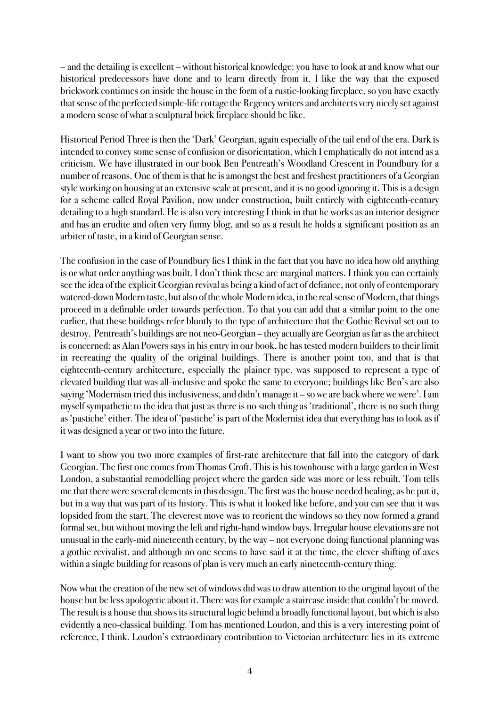– and the detailing is excellent – without historical knowledge: you have to look at and know what our historical predecessors have done and to learn directly from it. I like the way that the exposed brickwork continues on inside the house in the form of a rustic-looking fireplace, so you have exactly that sense of the perfected simple-life cottage the Regency writers and architects very nicely set against a modern sense of what a sculptural brick fireplace should be like.

Historical Period Three is then the 'Dark' Georgian, again especially of the tail end of the era. Dark is intended to convey some sense of confusion or disorientation, which I emphatically do not intend as a criticism. We have illustrated in our book Ben Pentreath's Woodland Crescent in Poundbury for a number of reasons. One of them is that he is amongst the best and freshest practitioners of a Georgian style working on housing at an extensive scale at present, and it is no good ignoring it. This is a design for a scheme called Royal Pavilion, now under construction, built entirely with eighteenth-century detailing to a high standard. He is also very interesting I think in that he works as an interior designer and has an erudite and often very funny blog, and so as a result he holds a significant position as an arbiter of taste, in a kind of Georgian sense.

The confusion in the case of Poundbury lies I think in the fact that you have no idea how old anything is or what order anything was built. I don't think these are marginal matters. I think you can certainly see the idea of the explicit Georgian revival as being a kind of act of defiance, not only of contemporary watered-down Modern taste, but also of the whole Modern idea, in the real sense of Modern, that things proceed in a definable order towards perfection. To that you can add that a similar point to the one earlier, that these buildings refer bluntly to the type of architecture that the Gothic Revival set out to destroy. Pentreath's buildings are not neo-Georgian – they actually are Georgian as far as the architect is concerned: as Alan Powers says in his entry in our book, he has tested modern builders to their limit in recreating the quality of the original buildings. There is another point too, and that is that eighteenth-century architecture, especially the plainer type, was supposed to represent a type of elevated building that was all-inclusive and spoke the same to everyone; buildings like Ben's are also saying 'Modernism tried this inclusiveness, and didn't manage it – so we are back where we were'. I am myself sympathetic to the idea that just as there is no such thing as 'traditional', there is no such thing as 'pastiche' either. The idea of 'pastiche' is part of the Modernist idea that everything has to look as if it was designed a year or two into the future.

I want to show you two more examples of first-rate architecture that fall into the category of dark Georgian. The first one comes from Thomas Croft. This is his townhouse with a large garden in West London, a substantial remodelling project where the garden side was more or less rebuilt. Tom tells me that there were several elements in this design. The first was the house needed healing, as he put it, but in a way that was part of its history. This is what it looked like before, and you can see that it was lopsided from the start. The cleverest move was to reorient the windows so they now formed a grand formal set, but without moving the left and right-hand window bays. Irregular house elevations are not unusual in the early-mid nineteenth century, by the way – not everyone doing functional planning was a gothic revivalist, and although no one seems to have said it at the time, the clever shifting of axes within a single building for reasons of plan is very much an early nineteenth-century thing.

Now what the creation of the new set of windows did was to draw attention to the original layout of the house but be less apologetic about it. There was for example a staircase inside that couldn't be moved. The result is a house that shows itsstructural logic behind a broadly functional layout, but which is also evidently a neo-classical building. Tom has mentioned Loudon, and this is a very interesting point of reference, I think. Loudon's extraordinary contribution to Victorian architecture lies in its extreme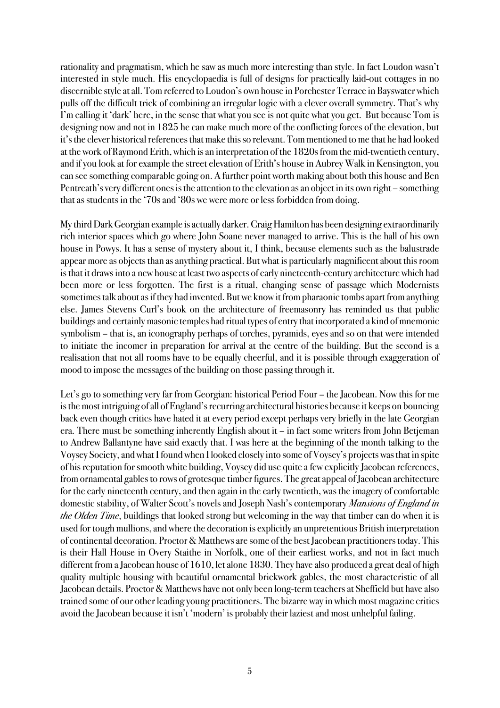rationality and pragmatism, which he saw as much more interesting than style. In fact Loudon wasn't interested in style much. His encyclopaedia is full of designs for practically laid-out cottages in no discernible style at all. Tom referred to Loudon's own house in Porchester Terrace in Bayswater which pulls off the difficult trick of combining an irregular logic with a clever overall symmetry. That's why I'm calling it 'dark' here, in the sense that what you see is not quite what you get. But because Tom is designing now and not in 1825 he can make much more of the conflicting forces of the elevation, but it's the clever historical references that make this so relevant. Tom mentioned to me that he had looked at the work of Raymond Erith, which is an interpretation of the 1820s from the mid-twentieth century, and if you look at for example the street elevation of Erith's house in Aubrey Walk in Kensington, you can see something comparable going on. A further point worth making about both this house and Ben Pentreath's very different ones is the attention to the elevation as an object in its own right – something that as students in the '70s and '80s we were more or less forbidden from doing.

My third Dark Georgian example is actually darker. Craig Hamilton has been designing extraordinarily rich interior spaces which go where John Soane never managed to arrive. This is the hall of his own house in Powys. It has a sense of mystery about it, I think, because elements such as the balustrade appear more as objects than as anything practical. But what is particularly magnificent about this room is that it draws into a new house at least two aspects of early nineteenth-century architecture which had been more or less forgotten. The first is a ritual, changing sense of passage which Modernists sometimes talk about as if they had invented. But we know it from pharaonic tombs apart from anything else. James Stevens Curl's book on the architecture of freemasonry has reminded us that public buildings and certainly masonic temples had ritual types of entry that incorporated a kind of mnemonic symbolism – that is, an iconography perhaps of torches, pyramids, eyes and so on that were intended to initiate the incomer in preparation for arrival at the centre of the building. But the second is a realisation that not all rooms have to be equally cheerful, and it is possible through exaggeration of mood to impose the messages of the building on those passing through it.

Let's go to something very far from Georgian: historical Period Four – the Jacobean. Now this for me is the most intriguing of all of England's recurring architectural histories because it keeps on bouncing back even though critics have hated it at every period except perhaps very briefly in the late Georgian era. There must be something inherently English about it – in fact some writers from John Betjeman to Andrew Ballantyne have said exactly that. I was here at the beginning of the month talking to the Voysey Society, and what I found when I looked closely into some of Voysey's projects was that in spite of his reputation for smooth white building, Voysey did use quite a few explicitly Jacobean references, from ornamental gables to rows of grotesque timber figures. The great appeal of Jacobean architecture for the early nineteenth century, and then again in the early twentieth, was the imagery of comfortable domestic stability, of Walter Scott's novels and Joseph Nash's contemporary Mansions of England in the Olden Time, buildings that looked strong but welcoming in the way that timber can do when it is used for tough mullions, and where the decoration is explicitly an unpretentious British interpretation of continental decoration. Proctor & Matthews are some of the best Jacobean practitioners today. This is their Hall House in Overy Staithe in Norfolk, one of their earliest works, and not in fact much different from a Jacobean house of 1610, let alone 1830. They have also produced a great deal of high quality multiple housing with beautiful ornamental brickwork gables, the most characteristic of all Jacobean details. Proctor & Matthews have not only been long-term teachers at Sheffield but have also trained some of our other leading young practitioners. The bizarre way in which most magazine critics avoid the Jacobean because it isn't 'modern' is probably their laziestand most unhelpful failing.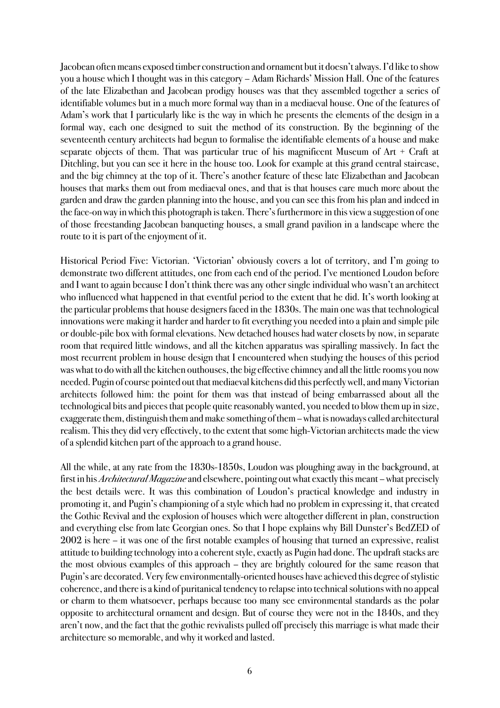Jacobean often means exposed timber construction and ornament but it doesn't always. I'd like to show you a house which I thought was in this category – Adam Richards' Mission Hall. One of the features of the late Elizabethan and Jacobean prodigy houses was that they assembled together a series of identifiable volumes but in a much more formal way than in a mediaeval house. One of the features of Adam's work that I particularly like is the way in which he presents the elements of the design in a formal way, each one designed to suit the method of its construction. By the beginning of the seventeenth century architects had begun to formalise the identifiable elements of a house and make separate objects of them. That was particular true of his magnificent Museum of Art + Craft at Ditchling, but you can see it here in the house too. Look for example at this grand central staircase, and the big chimney at the top of it. There's another feature of these late Elizabethan and Jacobean houses that marks them out from mediaeval ones, and that is that houses care much more about the garden and draw the garden planning into the house, and you can see this from his plan and indeed in the face-on way in which this photograph is taken. There's furthermore in this view a suggestion of one of those freestanding Jacobean banqueting houses, a small grand pavilion in a landscape where the route to it is part of the enjoyment of it.

Historical Period Five: Victorian. 'Victorian' obviously covers a lot of territory, and I'm going to demonstrate two different attitudes, one from each end of the period. I've mentioned Loudon before and I want to again because I don't think there was any other single individual who wasn't an architect who influenced what happened in that eventful period to the extent that he did. It's worth looking at the particular problems that house designers faced in the 1830s. The main one was that technological innovations were making it harder and harder to fit everything you needed into a plain and simple pile or double-pile box with formal elevations. New detached houses had water closets by now, in separate room that required little windows, and all the kitchen apparatus was spiralling massively. In fact the most recurrent problem in house design that I encountered when studying the houses of this period was what to do with all the kitchen outhouses, the big effective chimney and all the little rooms you now needed. Pugin of course pointed out that mediaeval kitchens did this perfectly well, and many Victorian architects followed him: the point for them was that instead of being embarrassed about all the technological bits and pieces that people quite reasonably wanted, you needed to blow them up in size, exaggerate them, distinguish them and make something of them –what is nowadays called architectural realism. This they did very effectively, to the extent that some high-Victorian architects made the view of a splendid kitchen part of the approach to a grand house.

All the while, at any rate from the 1830s-1850s, Loudon was ploughing away in the background, at first in his *Architectural Magazine* and elsewhere, pointing out what exactly this meant – what precisely the best details were. It was this combination of Loudon's practical knowledge and industry in promoting it, and Pugin's championing of a style which had no problem in expressing it, that created the Gothic Revival and the explosion of houses which were altogether different in plan, construction and everything else from late Georgian ones. So that I hope explains why Bill Dunster's BedZED of 2002 is here – it was one of the first notable examples of housing that turned an expressive, realist attitude to building technology into a coherent style, exactly as Pugin had done. The updraft stacks are the most obvious examples of this approach – they are brightly coloured for the same reason that Pugin's are decorated. Very few environmentally-oriented houses have achieved this degree of stylistic coherence, and there is a kind of puritanical tendency to relapse into technical solutions with no appeal or charm to them whatsoever, perhaps because too many see environmental standards as the polar opposite to architectural ornament and design. But of course they were not in the 1840s, and they aren't now, and the fact that the gothic revivalists pulled off precisely this marriage is what made their architecture so memorable, and why it worked and lasted.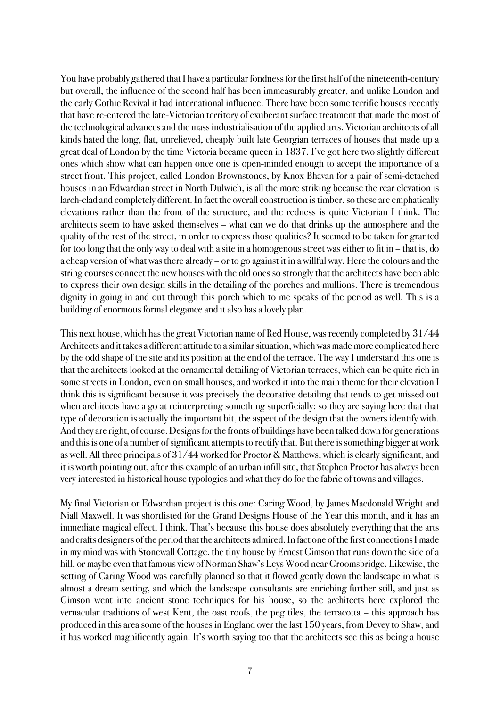You have probably gathered that I have a particular fondness for the first half of the nineteenth-century but overall, the influence of the second half has been immeasurably greater, and unlike Loudon and the early Gothic Revival it had international influence. There have been some terrific houses recently that have re-entered the late-Victorian territory of exuberant surface treatment that made the most of the technological advances and the mass industrialisation of the applied arts. Victorian architects of all kinds hated the long, flat, unrelieved, cheaply built late Georgian terraces of houses that made up a great deal of London by the time Victoria became queen in 1837. I've got here two slightly different ones which show what can happen once one is open-minded enough to accept the importance of a street front. This project, called London Brownstones, by Knox Bhavan for a pair of semi-detached houses in an Edwardian street in North Dulwich, is all the more striking because the rear elevation is larch-clad and completely different. In fact the overall construction is timber, so these are emphatically elevations rather than the front of the structure, and the redness is quite Victorian I think. The architects seem to have asked themselves – what can we do that drinks up the atmosphere and the quality of the rest of the street, in order to express those qualities? It seemed to be taken for granted for too long that the only way to deal with a site in a homogenous street was either to fit in – that is, do a cheap version of what was there already – or to go against it in a willful way. Here the colours and the string courses connect the new houses with the old ones so strongly that the architects have been able to express their own design skills in the detailing of the porches and mullions. There is tremendous dignity in going in and out through this porch which to me speaks of the period as well. This is a building of enormous formal elegance and it also has a lovely plan.

This next house, which has the great Victorian name of Red House, was recently completed by 31/44 Architects and it takes a different attitude to a similar situation, which was made more complicated here by the odd shape of the site and its position at the end of the terrace. The way I understand this one is that the architects looked at the ornamental detailing of Victorian terraces, which can be quite rich in some streets in London, even on small houses, and worked it into the main theme for their elevation I think this is significant because it was precisely the decorative detailing that tends to get missed out when architects have a go at reinterpreting something superficially: so they are saying here that that type of decoration is actually the important bit, the aspect of the design that the owners identify with. And they are right, of course. Designs for the fronts of buildings have been talked down for generations and this is one of a number of significant attempts to rectify that. But there is something bigger at work as well. All three principals of 31/44 worked for Proctor & Matthews, which is clearly significant, and it is worth pointing out, after this example of an urban infill site, that Stephen Proctor has always been very interested in historical house typologies and what they do for the fabric of towns and villages.

My final Victorian or Edwardian project is this one: Caring Wood, by James Macdonald Wright and Niall Maxwell. It was shortlisted for the Grand Designs House of the Year this month, and it has an immediate magical effect, I think. That's because this house does absolutely everything that the arts and crafts designers of the period that the architects admired. In fact one of the first connections I made in my mind was with Stonewall Cottage, the tiny house by Ernest Gimson that runs down the side of a hill, or maybe even that famous view of Norman Shaw's Leys Wood near Groomsbridge. Likewise, the setting of Caring Wood was carefully planned so that it flowed gently down the landscape in what is almost a dream setting, and which the landscape consultants are enriching further still, and just as Gimson went into ancient stone techniques for his house, so the architects here explored the vernacular traditions of west Kent, the oast roofs, the peg tiles, the terracotta – this approach has produced in this area some of the houses in England over the last 150 years, from Devey to Shaw, and it has worked magnificently again. It's worth saying too that the architects see this as being a house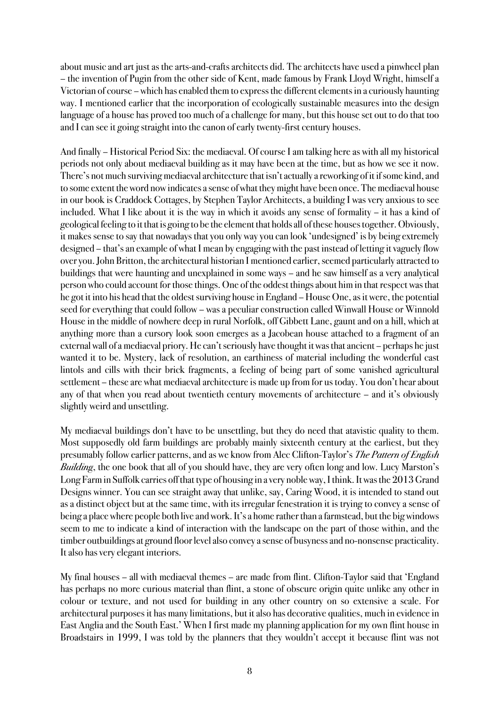about music and art just as the arts-and-crafts architects did. The architects have used a pinwheel plan – the invention of Pugin from the other side of Kent, made famous by Frank Lloyd Wright, himself a Victorian of course – which has enabled them to express the different elements in a curiously haunting way. I mentioned earlier that the incorporation of ecologically sustainable measures into the design language of a house has proved too much of a challenge for many, but this house set out to do that too and I can see it going straight into the canon of early twenty-first century houses.

And finally – Historical Period Six: the mediaeval. Of course I am talking here as with all my historical periods not only about mediaeval building as it may have been at the time, but as how we see it now. There's not much surviving mediaeval architecture that isn't actually a reworking of it if some kind, and to some extent the word now indicates a sense of what they might have been once. The mediaeval house in our book is Craddock Cottages, by Stephen Taylor Architects, a building I was very anxious to see included. What I like about it is the way in which it avoids any sense of formality – it has a kind of geological feeling to it that is going to be the element that holds all of these houses together. Obviously, it makes sense to say that nowadays that you only way you can look 'undesigned' is by being extremely designed – that's an example of what I mean by engaging with the past instead of letting it vaguely flow over you. John Britton, the architectural historian I mentioned earlier, seemed particularly attracted to buildings that were haunting and unexplained in some ways – and he saw himself as a very analytical person who could account for those things. One of the oddest thingsabout him in that respect was that he got it into his head that the oldest surviving house in England – House One, as it were, the potential seed for everything that could follow – was a peculiar construction called Winwall House or Winnold House in the middle of nowhere deep in rural Norfolk, off Gibbett Lane, gaunt and on a hill, which at anything more than a cursory look soon emerges as a Jacobean house attached to a fragment of an external wall of a mediaeval priory. He can't seriously have thought it was that ancient – perhaps he just wanted it to be. Mystery, lack of resolution, an earthiness of material including the wonderful cast lintols and cills with their brick fragments, a feeling of being part of some vanished agricultural settlement – these are what mediaeval architecture is made up from for us today. You don't hear about any of that when you read about twentieth century movements of architecture – and it's obviously slightly weird and unsettling.

My mediaeval buildings don't have to be unsettling, but they do need that atavistic quality to them. Most supposedly old farm buildings are probably mainly sixteenth century at the earliest, but they presumably follow earlier patterns, and as we know from Alec Clifton-Taylor's The Pattern of English Building, the one book that all of you should have, they are very often long and low. Lucy Marston's Long Farm in Suffolk carries off that type of housing in a very noble way, I think. It was the 2013 Grand Designs winner. You can see straight away that unlike, say, Caring Wood, it is intended to stand out as a distinct object but at the same time, with its irregular fenestration it is trying to convey a sense of being a place where people both live and work. It's a home rather than a farmstead, but the big windows seem to me to indicate a kind of interaction with the landscape on the part of those within, and the timber outbuildings at ground floor level also convey a sense of busyness and no-nonsense practicality. It also has very elegant interiors.

My final houses – all with mediaeval themes – are made from flint. Clifton-Taylor said that 'England has perhaps no more curious material than flint, a stone of obscure origin quite unlike any other in colour or texture, and not used for building in any other country on so extensive a scale. For architectural purposes it has many limitations, but it also has decorative qualities, much in evidence in East Anglia and the South East.' When I first made my planning application for my own flint house in Broadstairs in 1999, I was told by the planners that they wouldn't accept it because flint was not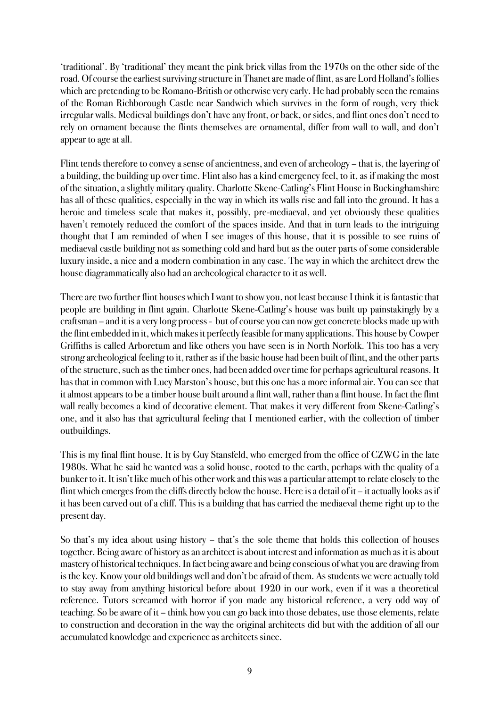'traditional'. By 'traditional' they meant the pink brick villas from the 1970s on the other side of the road. Of course the earliest surviving structure in Thanet are made of flint, as are Lord Holland's follies which are pretending to be Romano-British or otherwise very early. He had probably seen the remains of the Roman Richborough Castle near Sandwich which survives in the form of rough, very thick irregular walls. Medieval buildings don't have any front, or back, or sides, and flint ones don't need to rely on ornament because the flints themselves are ornamental, differ from wall to wall, and don't appear to age at all.

Flint tends therefore to convey a sense of ancientness, and even of archeology – that is, the layering of a building, the building up over time. Flint also has a kind emergency feel, to it, as if making the most of the situation, a slightly military quality. Charlotte Skene-Catling's Flint House in Buckinghamshire has all of these qualities, especially in the way in which its walls rise and fall into the ground. It has a heroic and timeless scale that makes it, possibly, pre-mediaeval, and yet obviously these qualities haven't remotely reduced the comfort of the spaces inside. And that in turn leads to the intriguing thought that I am reminded of when I see images of this house, that it is possible to see ruins of mediaeval castle building not as something cold and hard but as the outer parts of some considerable luxury inside, a nice and a modern combination in any case. The way in which the architect drew the house diagrammatically also had an archeological character to it as well.

There are two further flint houses which I want to show you, not least because I think it is fantastic that people are building in flint again. Charlotte Skene-Catling's house was built up painstakingly by a craftsman – and it isa very long process - but of course you can now get concrete blocks made up with the flint embedded in it, which makes it perfectly feasible for many applications. This house by Cowper Griffiths is called Arboretum and like others you have seen is in North Norfolk. This too has a very strong archeological feeling to it, rather as if the basic house had been built of flint, and the other parts of the structure, such as the timber ones, had been added over time for perhaps agricultural reasons. It has that in common with Lucy Marston's house, but this one has a more informal air. You can see that it almost appears to be a timber house built around a flint wall, rather than a flint house. In fact the flint wall really becomes a kind of decorative element. That makes it very different from Skene-Catling's one, and it also has that agricultural feeling that I mentioned earlier, with the collection of timber outbuildings.

This is my final flint house. It is by Guy Stansfeld, who emerged from the office of CZWG in the late 1980s. What he said he wanted was a solid house, rooted to the earth, perhaps with the quality of a bunker to it. It isn't like much of his other work and this was a particular attempt to relate closely to the flint which emerges from the cliffs directly below the house. Here is a detail of it – it actually looks as if it has been carved out of a cliff. This is a building that has carried the mediaeval theme right up to the present day.

So that's my idea about using history – that's the sole theme that holds this collection of houses together. Being aware of history as an architect is about interestand information as much as it is about mastery of historical techniques. In fact being aware and being conscious of what you are drawing from is the key. Know your old buildings well and don't be afraid of them. As students we were actually told to stay away from anything historical before about 1920 in our work, even if it was a theoretical reference. Tutors screamed with horror if you made any historical reference, a very odd way of teaching. So be aware of it – think how you can go back into those debates, use those elements, relate to construction and decoration in the way the original architects did but with the addition of all our accumulated knowledge and experience as architects since.